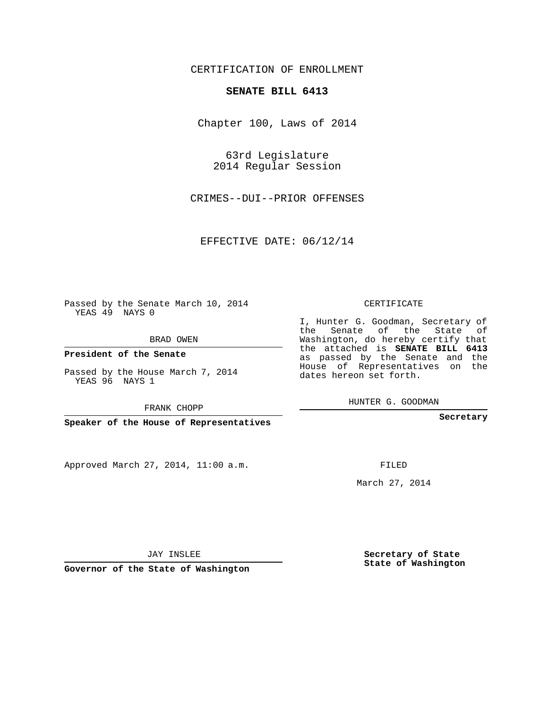### CERTIFICATION OF ENROLLMENT

#### **SENATE BILL 6413**

Chapter 100, Laws of 2014

63rd Legislature 2014 Regular Session

CRIMES--DUI--PRIOR OFFENSES

EFFECTIVE DATE: 06/12/14

**Contract Contract** 

Passed by the Senate March 10, 2014 YEAS 49 NAYS 0

BRAD OWEN

**President of the Senate**

Passed by the House March 7, 2014 YEAS 96 NAYS 1

FRANK CHOPP

**Speaker of the House of Representatives**

Approved March 27, 2014, 11:00 a.m.

CERTIFICATE

I, Hunter G. Goodman, Secretary of the Senate of the State of Washington, do hereby certify that the attached is **SENATE BILL 6413** as passed by the Senate and the House of Representatives on the dates hereon set forth.

HUNTER G. GOODMAN

**Secretary**

FILED

March 27, 2014

**Secretary of State State of Washington**

JAY INSLEE

**Governor of the State of Washington**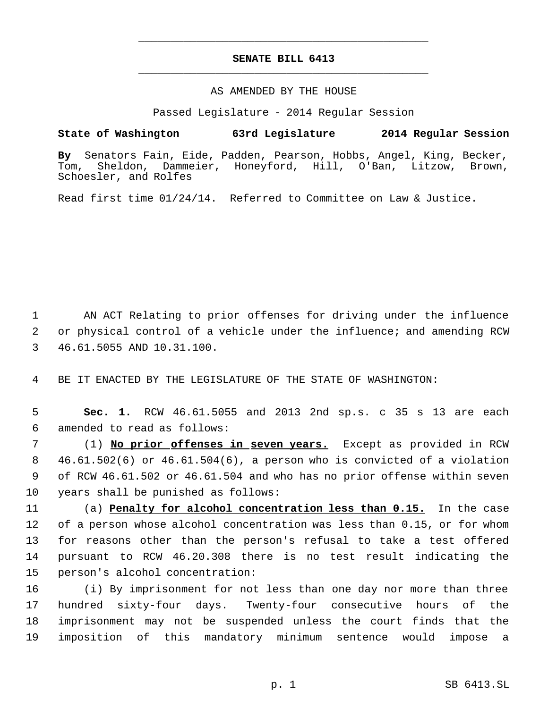# **SENATE BILL 6413** \_\_\_\_\_\_\_\_\_\_\_\_\_\_\_\_\_\_\_\_\_\_\_\_\_\_\_\_\_\_\_\_\_\_\_\_\_\_\_\_\_\_\_\_\_

\_\_\_\_\_\_\_\_\_\_\_\_\_\_\_\_\_\_\_\_\_\_\_\_\_\_\_\_\_\_\_\_\_\_\_\_\_\_\_\_\_\_\_\_\_

#### AS AMENDED BY THE HOUSE

Passed Legislature - 2014 Regular Session

### **State of Washington 63rd Legislature 2014 Regular Session**

**By** Senators Fain, Eide, Padden, Pearson, Hobbs, Angel, King, Becker, Dammeier, Honeyford, Hill, O'Ban, Litzow, Brown, Schoesler, and Rolfes

Read first time 01/24/14. Referred to Committee on Law & Justice.

 AN ACT Relating to prior offenses for driving under the influence or physical control of a vehicle under the influence; and amending RCW 46.61.5055 AND 10.31.100.

BE IT ENACTED BY THE LEGISLATURE OF THE STATE OF WASHINGTON:

 **Sec. 1.** RCW 46.61.5055 and 2013 2nd sp.s. c 35 s 13 are each amended to read as follows:

 (1) **No prior offenses in seven years.** Except as provided in RCW 46.61.502(6) or 46.61.504(6), a person who is convicted of a violation of RCW 46.61.502 or 46.61.504 and who has no prior offense within seven years shall be punished as follows:

 (a) **Penalty for alcohol concentration less than 0.15.** In the case of a person whose alcohol concentration was less than 0.15, or for whom for reasons other than the person's refusal to take a test offered pursuant to RCW 46.20.308 there is no test result indicating the person's alcohol concentration:

 (i) By imprisonment for not less than one day nor more than three hundred sixty-four days. Twenty-four consecutive hours of the imprisonment may not be suspended unless the court finds that the imposition of this mandatory minimum sentence would impose a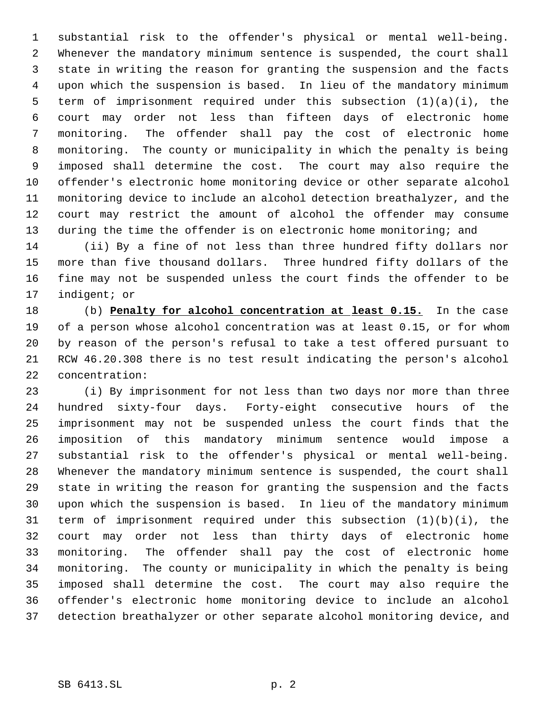substantial risk to the offender's physical or mental well-being. Whenever the mandatory minimum sentence is suspended, the court shall state in writing the reason for granting the suspension and the facts upon which the suspension is based. In lieu of the mandatory minimum term of imprisonment required under this subsection (1)(a)(i), the court may order not less than fifteen days of electronic home monitoring. The offender shall pay the cost of electronic home monitoring. The county or municipality in which the penalty is being imposed shall determine the cost. The court may also require the offender's electronic home monitoring device or other separate alcohol monitoring device to include an alcohol detection breathalyzer, and the court may restrict the amount of alcohol the offender may consume 13 during the time the offender is on electronic home monitoring; and

 (ii) By a fine of not less than three hundred fifty dollars nor more than five thousand dollars. Three hundred fifty dollars of the fine may not be suspended unless the court finds the offender to be indigent; or

 (b) **Penalty for alcohol concentration at least 0.15.** In the case of a person whose alcohol concentration was at least 0.15, or for whom by reason of the person's refusal to take a test offered pursuant to RCW 46.20.308 there is no test result indicating the person's alcohol concentration:

 (i) By imprisonment for not less than two days nor more than three hundred sixty-four days. Forty-eight consecutive hours of the imprisonment may not be suspended unless the court finds that the imposition of this mandatory minimum sentence would impose a substantial risk to the offender's physical or mental well-being. Whenever the mandatory minimum sentence is suspended, the court shall state in writing the reason for granting the suspension and the facts upon which the suspension is based. In lieu of the mandatory minimum term of imprisonment required under this subsection (1)(b)(i), the court may order not less than thirty days of electronic home monitoring. The offender shall pay the cost of electronic home monitoring. The county or municipality in which the penalty is being imposed shall determine the cost. The court may also require the offender's electronic home monitoring device to include an alcohol detection breathalyzer or other separate alcohol monitoring device, and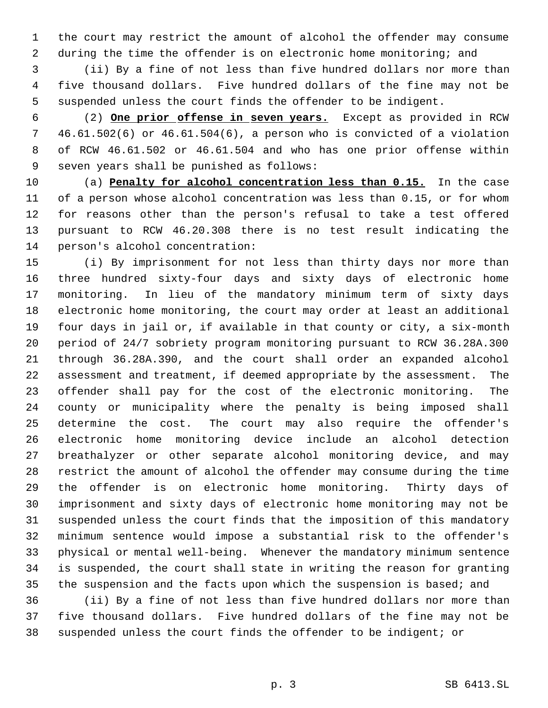the court may restrict the amount of alcohol the offender may consume during the time the offender is on electronic home monitoring; and

 (ii) By a fine of not less than five hundred dollars nor more than five thousand dollars. Five hundred dollars of the fine may not be suspended unless the court finds the offender to be indigent.

 (2) **One prior offense in seven years.** Except as provided in RCW 46.61.502(6) or 46.61.504(6), a person who is convicted of a violation of RCW 46.61.502 or 46.61.504 and who has one prior offense within seven years shall be punished as follows:

 (a) **Penalty for alcohol concentration less than 0.15.** In the case of a person whose alcohol concentration was less than 0.15, or for whom for reasons other than the person's refusal to take a test offered pursuant to RCW 46.20.308 there is no test result indicating the person's alcohol concentration:

 (i) By imprisonment for not less than thirty days nor more than three hundred sixty-four days and sixty days of electronic home monitoring. In lieu of the mandatory minimum term of sixty days electronic home monitoring, the court may order at least an additional four days in jail or, if available in that county or city, a six-month period of 24/7 sobriety program monitoring pursuant to RCW 36.28A.300 through 36.28A.390, and the court shall order an expanded alcohol assessment and treatment, if deemed appropriate by the assessment. The offender shall pay for the cost of the electronic monitoring. The county or municipality where the penalty is being imposed shall determine the cost. The court may also require the offender's electronic home monitoring device include an alcohol detection breathalyzer or other separate alcohol monitoring device, and may restrict the amount of alcohol the offender may consume during the time the offender is on electronic home monitoring. Thirty days of imprisonment and sixty days of electronic home monitoring may not be suspended unless the court finds that the imposition of this mandatory minimum sentence would impose a substantial risk to the offender's physical or mental well-being. Whenever the mandatory minimum sentence is suspended, the court shall state in writing the reason for granting the suspension and the facts upon which the suspension is based; and

 (ii) By a fine of not less than five hundred dollars nor more than five thousand dollars. Five hundred dollars of the fine may not be suspended unless the court finds the offender to be indigent; or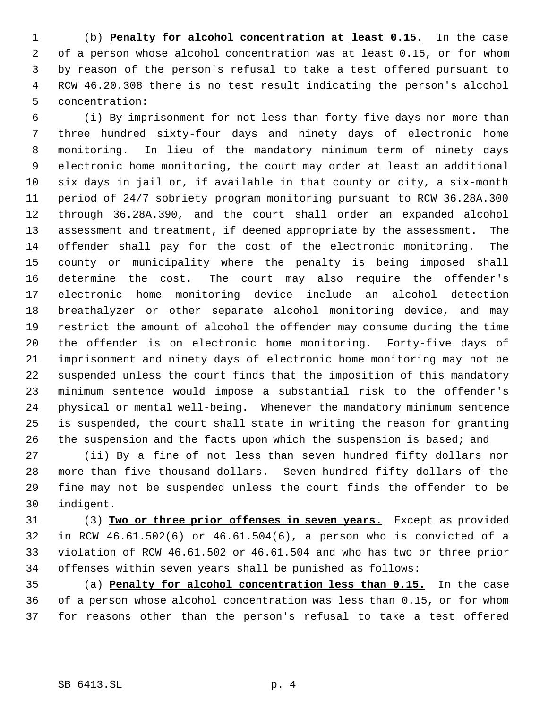(b) **Penalty for alcohol concentration at least 0.15.** In the case of a person whose alcohol concentration was at least 0.15, or for whom by reason of the person's refusal to take a test offered pursuant to RCW 46.20.308 there is no test result indicating the person's alcohol concentration:

 (i) By imprisonment for not less than forty-five days nor more than three hundred sixty-four days and ninety days of electronic home monitoring. In lieu of the mandatory minimum term of ninety days electronic home monitoring, the court may order at least an additional six days in jail or, if available in that county or city, a six-month period of 24/7 sobriety program monitoring pursuant to RCW 36.28A.300 through 36.28A.390, and the court shall order an expanded alcohol assessment and treatment, if deemed appropriate by the assessment. The offender shall pay for the cost of the electronic monitoring. The county or municipality where the penalty is being imposed shall determine the cost. The court may also require the offender's electronic home monitoring device include an alcohol detection breathalyzer or other separate alcohol monitoring device, and may restrict the amount of alcohol the offender may consume during the time the offender is on electronic home monitoring. Forty-five days of imprisonment and ninety days of electronic home monitoring may not be suspended unless the court finds that the imposition of this mandatory minimum sentence would impose a substantial risk to the offender's physical or mental well-being. Whenever the mandatory minimum sentence is suspended, the court shall state in writing the reason for granting 26 the suspension and the facts upon which the suspension is based; and

 (ii) By a fine of not less than seven hundred fifty dollars nor more than five thousand dollars. Seven hundred fifty dollars of the fine may not be suspended unless the court finds the offender to be indigent.

 (3) **Two or three prior offenses in seven years.** Except as provided in RCW 46.61.502(6) or 46.61.504(6), a person who is convicted of a violation of RCW 46.61.502 or 46.61.504 and who has two or three prior offenses within seven years shall be punished as follows:

 (a) **Penalty for alcohol concentration less than 0.15.** In the case of a person whose alcohol concentration was less than 0.15, or for whom for reasons other than the person's refusal to take a test offered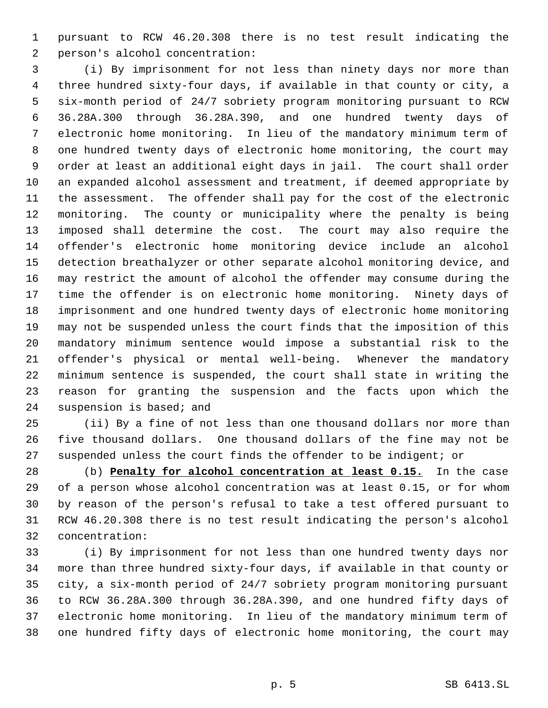pursuant to RCW 46.20.308 there is no test result indicating the person's alcohol concentration:

 (i) By imprisonment for not less than ninety days nor more than three hundred sixty-four days, if available in that county or city, a six-month period of 24/7 sobriety program monitoring pursuant to RCW 36.28A.300 through 36.28A.390, and one hundred twenty days of electronic home monitoring. In lieu of the mandatory minimum term of one hundred twenty days of electronic home monitoring, the court may order at least an additional eight days in jail. The court shall order an expanded alcohol assessment and treatment, if deemed appropriate by the assessment. The offender shall pay for the cost of the electronic monitoring. The county or municipality where the penalty is being imposed shall determine the cost. The court may also require the offender's electronic home monitoring device include an alcohol detection breathalyzer or other separate alcohol monitoring device, and may restrict the amount of alcohol the offender may consume during the time the offender is on electronic home monitoring. Ninety days of imprisonment and one hundred twenty days of electronic home monitoring may not be suspended unless the court finds that the imposition of this mandatory minimum sentence would impose a substantial risk to the offender's physical or mental well-being. Whenever the mandatory minimum sentence is suspended, the court shall state in writing the reason for granting the suspension and the facts upon which the suspension is based; and

 (ii) By a fine of not less than one thousand dollars nor more than five thousand dollars. One thousand dollars of the fine may not be suspended unless the court finds the offender to be indigent; or

 (b) **Penalty for alcohol concentration at least 0.15.** In the case of a person whose alcohol concentration was at least 0.15, or for whom by reason of the person's refusal to take a test offered pursuant to RCW 46.20.308 there is no test result indicating the person's alcohol concentration:

 (i) By imprisonment for not less than one hundred twenty days nor more than three hundred sixty-four days, if available in that county or city, a six-month period of 24/7 sobriety program monitoring pursuant to RCW 36.28A.300 through 36.28A.390, and one hundred fifty days of electronic home monitoring. In lieu of the mandatory minimum term of one hundred fifty days of electronic home monitoring, the court may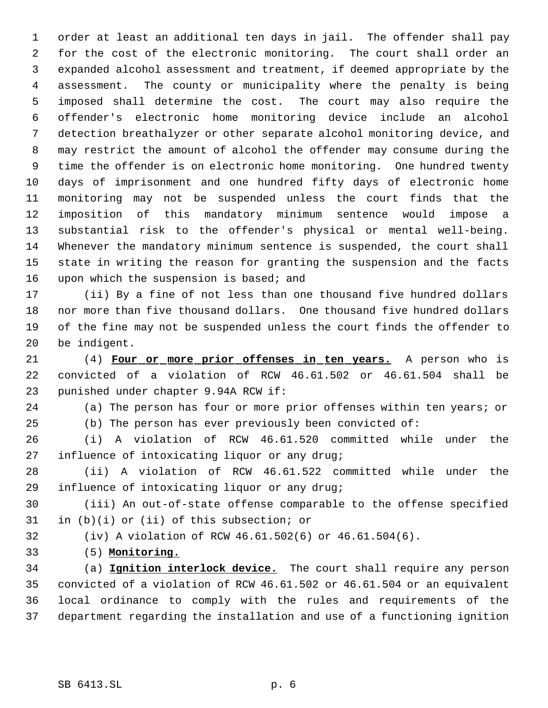order at least an additional ten days in jail. The offender shall pay for the cost of the electronic monitoring. The court shall order an expanded alcohol assessment and treatment, if deemed appropriate by the assessment. The county or municipality where the penalty is being imposed shall determine the cost. The court may also require the offender's electronic home monitoring device include an alcohol detection breathalyzer or other separate alcohol monitoring device, and may restrict the amount of alcohol the offender may consume during the time the offender is on electronic home monitoring. One hundred twenty days of imprisonment and one hundred fifty days of electronic home monitoring may not be suspended unless the court finds that the imposition of this mandatory minimum sentence would impose a substantial risk to the offender's physical or mental well-being. Whenever the mandatory minimum sentence is suspended, the court shall state in writing the reason for granting the suspension and the facts 16 upon which the suspension is based; and

 (ii) By a fine of not less than one thousand five hundred dollars nor more than five thousand dollars. One thousand five hundred dollars of the fine may not be suspended unless the court finds the offender to be indigent.

 (4) **Four or more prior offenses in ten years.** A person who is convicted of a violation of RCW 46.61.502 or 46.61.504 shall be punished under chapter 9.94A RCW if:

(a) The person has four or more prior offenses within ten years; or

(b) The person has ever previously been convicted of:

 (i) A violation of RCW 46.61.520 committed while under the influence of intoxicating liquor or any drug;

 (ii) A violation of RCW 46.61.522 committed while under the influence of intoxicating liquor or any drug;

 (iii) An out-of-state offense comparable to the offense specified in (b)(i) or (ii) of this subsection; or

(iv) A violation of RCW 46.61.502(6) or 46.61.504(6).

(5) **Monitoring.**

 (a) **Ignition interlock device.** The court shall require any person convicted of a violation of RCW 46.61.502 or 46.61.504 or an equivalent local ordinance to comply with the rules and requirements of the department regarding the installation and use of a functioning ignition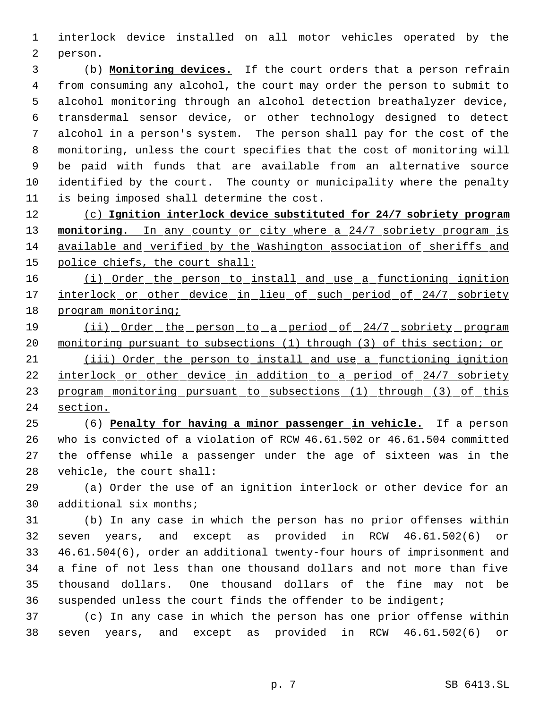interlock device installed on all motor vehicles operated by the person.

 (b) **Monitoring devices.** If the court orders that a person refrain from consuming any alcohol, the court may order the person to submit to alcohol monitoring through an alcohol detection breathalyzer device, transdermal sensor device, or other technology designed to detect alcohol in a person's system. The person shall pay for the cost of the monitoring, unless the court specifies that the cost of monitoring will be paid with funds that are available from an alternative source identified by the court. The county or municipality where the penalty is being imposed shall determine the cost.

 (c) **Ignition interlock device substituted for 24/7 sobriety program monitoring.** In any county or city where a 24/7 sobriety program is available and verified by the Washington association of sheriffs and police chiefs, the court shall:

 (i) Order the person to install and use a functioning ignition 17 interlock or other device in lieu of such period of 24/7 sobriety program monitoring;

19 (ii) Order the person to a period of 24/7 sobriety program 20 monitoring pursuant to subsections (1) through (3) of this section; or

 (iii) Order the person to install and use a functioning ignition 22 interlock or other device in addition to a period of 24/7 sobriety 23 program monitoring pursuant to subsections (1) through (3) of this section.

 (6) **Penalty for having a minor passenger in vehicle.** If a person who is convicted of a violation of RCW 46.61.502 or 46.61.504 committed the offense while a passenger under the age of sixteen was in the vehicle, the court shall:

 (a) Order the use of an ignition interlock or other device for an additional six months;

 (b) In any case in which the person has no prior offenses within seven years, and except as provided in RCW 46.61.502(6) or 46.61.504(6), order an additional twenty-four hours of imprisonment and a fine of not less than one thousand dollars and not more than five thousand dollars. One thousand dollars of the fine may not be suspended unless the court finds the offender to be indigent;

 (c) In any case in which the person has one prior offense within seven years, and except as provided in RCW 46.61.502(6) or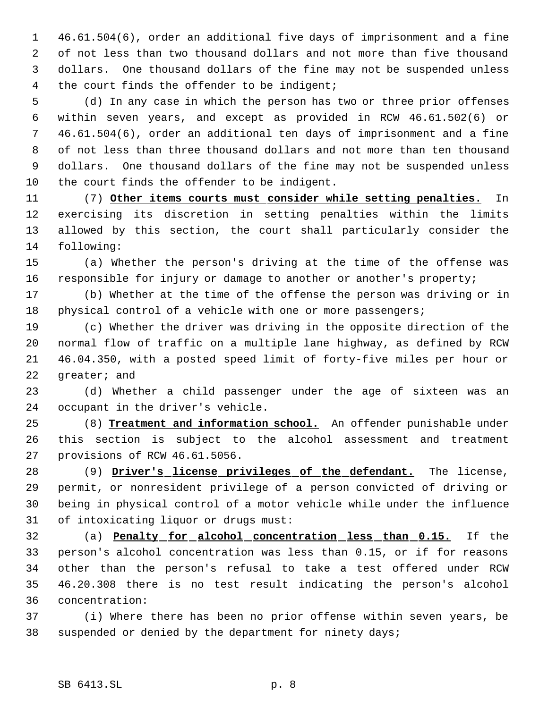46.61.504(6), order an additional five days of imprisonment and a fine of not less than two thousand dollars and not more than five thousand dollars. One thousand dollars of the fine may not be suspended unless the court finds the offender to be indigent;

 (d) In any case in which the person has two or three prior offenses within seven years, and except as provided in RCW 46.61.502(6) or 46.61.504(6), order an additional ten days of imprisonment and a fine of not less than three thousand dollars and not more than ten thousand dollars. One thousand dollars of the fine may not be suspended unless the court finds the offender to be indigent.

 (7) **Other items courts must consider while setting penalties.** In exercising its discretion in setting penalties within the limits allowed by this section, the court shall particularly consider the following:

 (a) Whether the person's driving at the time of the offense was responsible for injury or damage to another or another's property;

 (b) Whether at the time of the offense the person was driving or in 18 physical control of a vehicle with one or more passengers;

 (c) Whether the driver was driving in the opposite direction of the normal flow of traffic on a multiple lane highway, as defined by RCW 46.04.350, with a posted speed limit of forty-five miles per hour or greater; and

 (d) Whether a child passenger under the age of sixteen was an occupant in the driver's vehicle.

 (8) **Treatment and information school.** An offender punishable under this section is subject to the alcohol assessment and treatment provisions of RCW 46.61.5056.

 (9) **Driver's license privileges of the defendant.** The license, permit, or nonresident privilege of a person convicted of driving or being in physical control of a motor vehicle while under the influence of intoxicating liquor or drugs must:

 (a) **Penalty for alcohol concentration less than 0.15.** If the person's alcohol concentration was less than 0.15, or if for reasons other than the person's refusal to take a test offered under RCW 46.20.308 there is no test result indicating the person's alcohol concentration:

 (i) Where there has been no prior offense within seven years, be suspended or denied by the department for ninety days;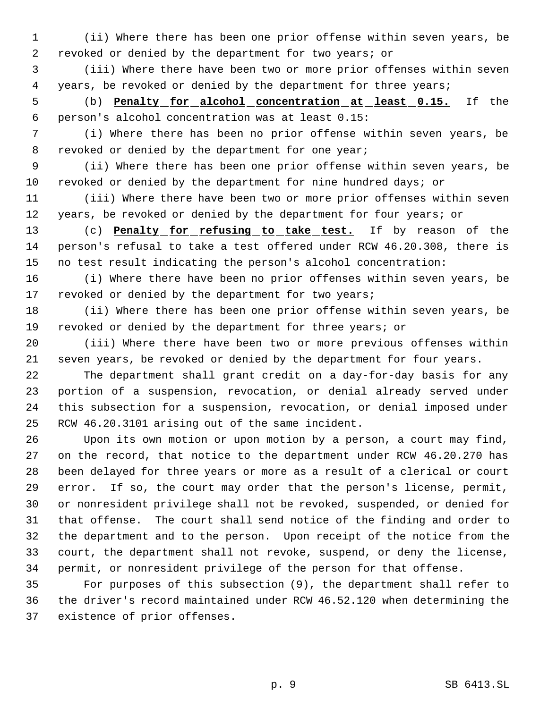(ii) Where there has been one prior offense within seven years, be revoked or denied by the department for two years; or

 (iii) Where there have been two or more prior offenses within seven years, be revoked or denied by the department for three years;

 (b) **Penalty for alcohol concentration at least 0.15.** If the person's alcohol concentration was at least 0.15:

 (i) Where there has been no prior offense within seven years, be revoked or denied by the department for one year;

 (ii) Where there has been one prior offense within seven years, be revoked or denied by the department for nine hundred days; or

 (iii) Where there have been two or more prior offenses within seven years, be revoked or denied by the department for four years; or

 (c) **Penalty for refusing to take test.** If by reason of the person's refusal to take a test offered under RCW 46.20.308, there is no test result indicating the person's alcohol concentration:

 (i) Where there have been no prior offenses within seven years, be 17 revoked or denied by the department for two years;

 (ii) Where there has been one prior offense within seven years, be revoked or denied by the department for three years; or

 (iii) Where there have been two or more previous offenses within seven years, be revoked or denied by the department for four years.

 The department shall grant credit on a day-for-day basis for any portion of a suspension, revocation, or denial already served under this subsection for a suspension, revocation, or denial imposed under RCW 46.20.3101 arising out of the same incident.

 Upon its own motion or upon motion by a person, a court may find, on the record, that notice to the department under RCW 46.20.270 has been delayed for three years or more as a result of a clerical or court error. If so, the court may order that the person's license, permit, or nonresident privilege shall not be revoked, suspended, or denied for that offense. The court shall send notice of the finding and order to the department and to the person. Upon receipt of the notice from the court, the department shall not revoke, suspend, or deny the license, permit, or nonresident privilege of the person for that offense.

 For purposes of this subsection (9), the department shall refer to the driver's record maintained under RCW 46.52.120 when determining the existence of prior offenses.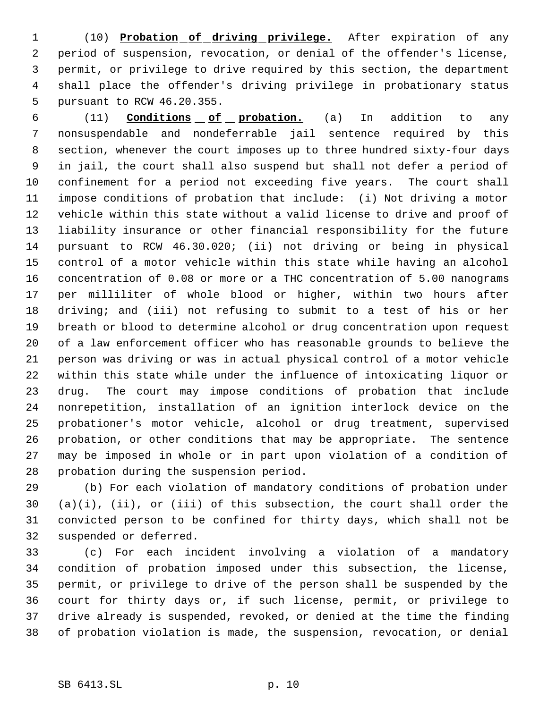(10) **Probation of driving privilege.** After expiration of any period of suspension, revocation, or denial of the offender's license, permit, or privilege to drive required by this section, the department shall place the offender's driving privilege in probationary status pursuant to RCW 46.20.355.

 (11) **Conditions of probation.** (a) In addition to any nonsuspendable and nondeferrable jail sentence required by this section, whenever the court imposes up to three hundred sixty-four days in jail, the court shall also suspend but shall not defer a period of confinement for a period not exceeding five years. The court shall impose conditions of probation that include: (i) Not driving a motor vehicle within this state without a valid license to drive and proof of liability insurance or other financial responsibility for the future pursuant to RCW 46.30.020; (ii) not driving or being in physical control of a motor vehicle within this state while having an alcohol concentration of 0.08 or more or a THC concentration of 5.00 nanograms per milliliter of whole blood or higher, within two hours after driving; and (iii) not refusing to submit to a test of his or her breath or blood to determine alcohol or drug concentration upon request of a law enforcement officer who has reasonable grounds to believe the person was driving or was in actual physical control of a motor vehicle within this state while under the influence of intoxicating liquor or drug. The court may impose conditions of probation that include nonrepetition, installation of an ignition interlock device on the probationer's motor vehicle, alcohol or drug treatment, supervised probation, or other conditions that may be appropriate. The sentence may be imposed in whole or in part upon violation of a condition of probation during the suspension period.

 (b) For each violation of mandatory conditions of probation under (a)(i), (ii), or (iii) of this subsection, the court shall order the convicted person to be confined for thirty days, which shall not be suspended or deferred.

 (c) For each incident involving a violation of a mandatory condition of probation imposed under this subsection, the license, permit, or privilege to drive of the person shall be suspended by the court for thirty days or, if such license, permit, or privilege to drive already is suspended, revoked, or denied at the time the finding of probation violation is made, the suspension, revocation, or denial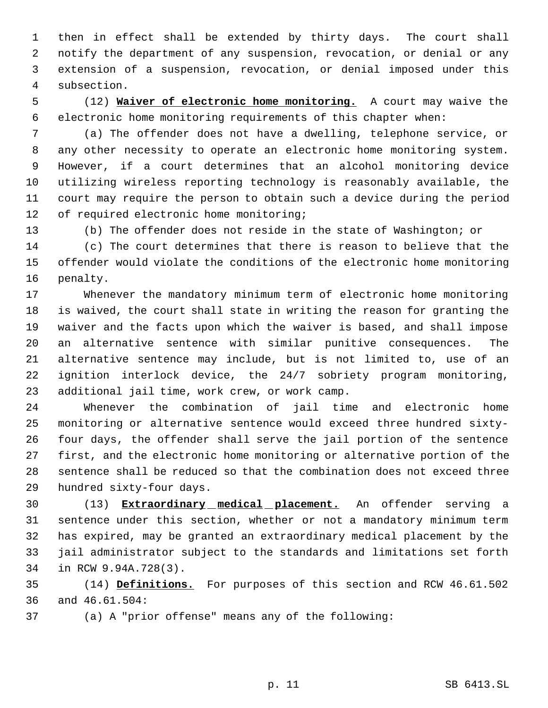then in effect shall be extended by thirty days. The court shall notify the department of any suspension, revocation, or denial or any extension of a suspension, revocation, or denial imposed under this subsection.

 (12) **Waiver of electronic home monitoring.** A court may waive the electronic home monitoring requirements of this chapter when:

 (a) The offender does not have a dwelling, telephone service, or any other necessity to operate an electronic home monitoring system. However, if a court determines that an alcohol monitoring device utilizing wireless reporting technology is reasonably available, the court may require the person to obtain such a device during the period 12 of required electronic home monitoring;

(b) The offender does not reside in the state of Washington; or

 (c) The court determines that there is reason to believe that the offender would violate the conditions of the electronic home monitoring penalty.

 Whenever the mandatory minimum term of electronic home monitoring is waived, the court shall state in writing the reason for granting the waiver and the facts upon which the waiver is based, and shall impose an alternative sentence with similar punitive consequences. The alternative sentence may include, but is not limited to, use of an ignition interlock device, the 24/7 sobriety program monitoring, additional jail time, work crew, or work camp.

 Whenever the combination of jail time and electronic home monitoring or alternative sentence would exceed three hundred sixty- four days, the offender shall serve the jail portion of the sentence first, and the electronic home monitoring or alternative portion of the sentence shall be reduced so that the combination does not exceed three hundred sixty-four days.

 (13) **Extraordinary medical placement.** An offender serving a sentence under this section, whether or not a mandatory minimum term has expired, may be granted an extraordinary medical placement by the jail administrator subject to the standards and limitations set forth in RCW 9.94A.728(3).

 (14) **Definitions.** For purposes of this section and RCW 46.61.502 and 46.61.504:

(a) A "prior offense" means any of the following: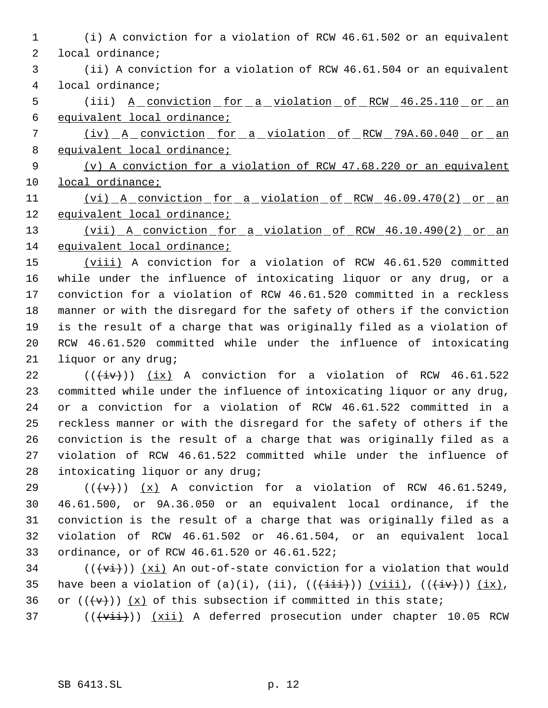- (i) A conviction for a violation of RCW 46.61.502 or an equivalent local ordinance;
- (ii) A conviction for a violation of RCW 46.61.504 or an equivalent local ordinance;
- 5 (iii) <u>A conviction for a violation of RCW 46.25.110 or an</u> equivalent local ordinance;
- (iv) A conviction for a violation of RCW 79A.60.040 or an 8 equivalent local ordinance;
- (v) A conviction for a violation of RCW 47.68.220 or an equivalent local ordinance;
- (vi) A conviction for a violation of RCW 46.09.470(2) or an equivalent local ordinance;
- (vii) A conviction for a violation of RCW 46.10.490(2) or an equivalent local ordinance;
- (viii) A conviction for a violation of RCW 46.61.520 committed while under the influence of intoxicating liquor or any drug, or a conviction for a violation of RCW 46.61.520 committed in a reckless manner or with the disregard for the safety of others if the conviction is the result of a charge that was originally filed as a violation of RCW 46.61.520 committed while under the influence of intoxicating liquor or any drug;
- 22  $((\overleftrightarrow{iv}))$  (ix) A conviction for a violation of RCW 46.61.522 committed while under the influence of intoxicating liquor or any drug, or a conviction for a violation of RCW 46.61.522 committed in a reckless manner or with the disregard for the safety of others if the conviction is the result of a charge that was originally filed as a violation of RCW 46.61.522 committed while under the influence of intoxicating liquor or any drug;
- 29  $((\forall \forall))$  (x) A conviction for a violation of RCW 46.61.5249, 46.61.500, or 9A.36.050 or an equivalent local ordinance, if the conviction is the result of a charge that was originally filed as a violation of RCW 46.61.502 or 46.61.504, or an equivalent local ordinance, or of RCW 46.61.520 or 46.61.522;
- 34 ( $(\overrightarrow{v_i})$ )  $(x_i)$  An out-of-state conviction for a violation that would 35 have been a violation of (a)(i), (ii),  $((\pm i\pm i))$   $(yiii)$ ,  $((\pm i\pm i))$   $(ix)$ , 36 or  $((\{v\})$   $(x)$  of this subsection if committed in this state;
- (( $\overline{+v\text{iii}}$ ))  $\overline{+x\text{iii}}$  A deferred prosecution under chapter 10.05 RCW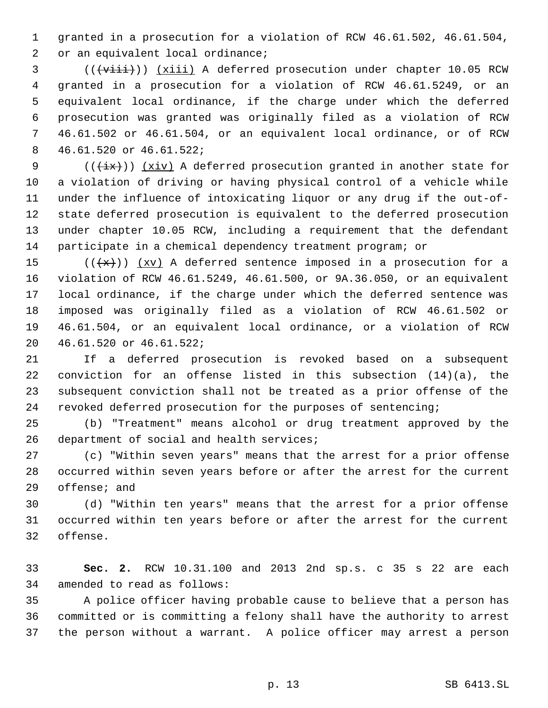granted in a prosecution for a violation of RCW 46.61.502, 46.61.504, 2 or an equivalent local ordinance;

3 ((( $\overrightarrow{viii})$ ) (xiii) A deferred prosecution under chapter 10.05 RCW granted in a prosecution for a violation of RCW 46.61.5249, or an equivalent local ordinance, if the charge under which the deferred prosecution was granted was originally filed as a violation of RCW 46.61.502 or 46.61.504, or an equivalent local ordinance, or of RCW 46.61.520 or 46.61.522;

9 ( $(\{\pm x\})$ )  $(xiv)$  A deferred prosecution granted in another state for a violation of driving or having physical control of a vehicle while under the influence of intoxicating liquor or any drug if the out-of- state deferred prosecution is equivalent to the deferred prosecution under chapter 10.05 RCW, including a requirement that the defendant participate in a chemical dependency treatment program; or

15 ( $(\frac{4x}{x})$ )  $\frac{xy}{x}$  A deferred sentence imposed in a prosecution for a violation of RCW 46.61.5249, 46.61.500, or 9A.36.050, or an equivalent local ordinance, if the charge under which the deferred sentence was imposed was originally filed as a violation of RCW 46.61.502 or 46.61.504, or an equivalent local ordinance, or a violation of RCW 46.61.520 or 46.61.522;

 If a deferred prosecution is revoked based on a subsequent conviction for an offense listed in this subsection (14)(a), the subsequent conviction shall not be treated as a prior offense of the revoked deferred prosecution for the purposes of sentencing;

 (b) "Treatment" means alcohol or drug treatment approved by the 26 department of social and health services;

 (c) "Within seven years" means that the arrest for a prior offense occurred within seven years before or after the arrest for the current offense; and

 (d) "Within ten years" means that the arrest for a prior offense occurred within ten years before or after the arrest for the current offense.

 **Sec. 2.** RCW 10.31.100 and 2013 2nd sp.s. c 35 s 22 are each amended to read as follows:

 A police officer having probable cause to believe that a person has committed or is committing a felony shall have the authority to arrest the person without a warrant. A police officer may arrest a person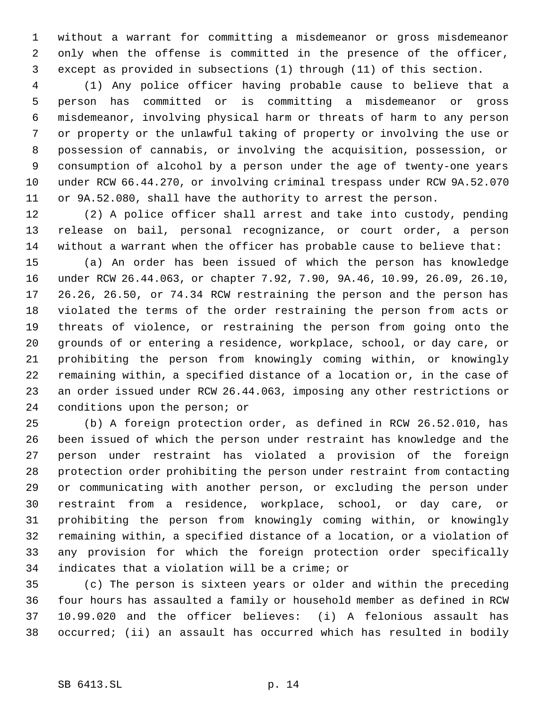without a warrant for committing a misdemeanor or gross misdemeanor only when the offense is committed in the presence of the officer, except as provided in subsections (1) through (11) of this section.

 (1) Any police officer having probable cause to believe that a person has committed or is committing a misdemeanor or gross misdemeanor, involving physical harm or threats of harm to any person or property or the unlawful taking of property or involving the use or possession of cannabis, or involving the acquisition, possession, or consumption of alcohol by a person under the age of twenty-one years under RCW 66.44.270, or involving criminal trespass under RCW 9A.52.070 or 9A.52.080, shall have the authority to arrest the person.

 (2) A police officer shall arrest and take into custody, pending release on bail, personal recognizance, or court order, a person without a warrant when the officer has probable cause to believe that:

 (a) An order has been issued of which the person has knowledge under RCW 26.44.063, or chapter 7.92, 7.90, 9A.46, 10.99, 26.09, 26.10, 26.26, 26.50, or 74.34 RCW restraining the person and the person has violated the terms of the order restraining the person from acts or threats of violence, or restraining the person from going onto the grounds of or entering a residence, workplace, school, or day care, or prohibiting the person from knowingly coming within, or knowingly remaining within, a specified distance of a location or, in the case of an order issued under RCW 26.44.063, imposing any other restrictions or conditions upon the person; or

 (b) A foreign protection order, as defined in RCW 26.52.010, has been issued of which the person under restraint has knowledge and the person under restraint has violated a provision of the foreign protection order prohibiting the person under restraint from contacting or communicating with another person, or excluding the person under restraint from a residence, workplace, school, or day care, or prohibiting the person from knowingly coming within, or knowingly remaining within, a specified distance of a location, or a violation of any provision for which the foreign protection order specifically indicates that a violation will be a crime; or

 (c) The person is sixteen years or older and within the preceding four hours has assaulted a family or household member as defined in RCW 10.99.020 and the officer believes: (i) A felonious assault has occurred; (ii) an assault has occurred which has resulted in bodily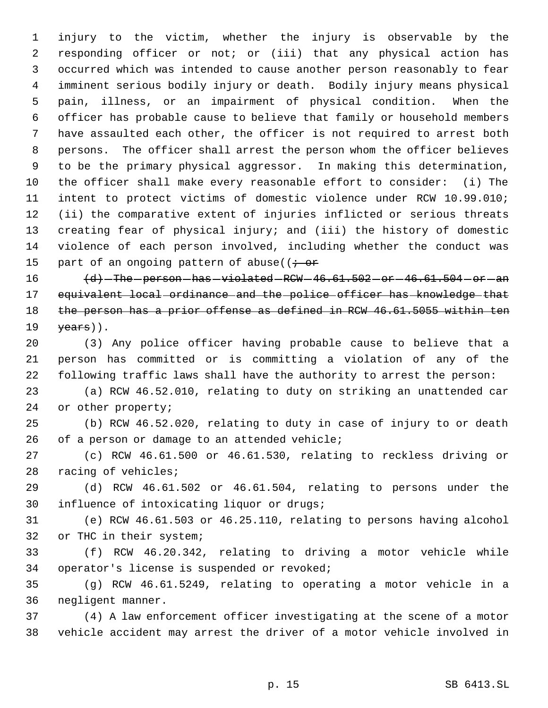injury to the victim, whether the injury is observable by the responding officer or not; or (iii) that any physical action has occurred which was intended to cause another person reasonably to fear imminent serious bodily injury or death. Bodily injury means physical pain, illness, or an impairment of physical condition. When the officer has probable cause to believe that family or household members have assaulted each other, the officer is not required to arrest both persons. The officer shall arrest the person whom the officer believes to be the primary physical aggressor. In making this determination, the officer shall make every reasonable effort to consider: (i) The intent to protect victims of domestic violence under RCW 10.99.010; (ii) the comparative extent of injuries inflicted or serious threats creating fear of physical injury; and (iii) the history of domestic violence of each person involved, including whether the conduct was 15 part of an ongoing pattern of abuse( $\overline{t}$  or

  $\left\langle d\right\rangle$  -The -person -has -violated -RCW -46.61.502 -or -46.61.504 -or -an equivalent local ordinance and the police officer has knowledge that 18 the person has a prior offense as defined in RCW 46.61.5055 within ten  $\sqrt{ears}$ ).

 (3) Any police officer having probable cause to believe that a person has committed or is committing a violation of any of the following traffic laws shall have the authority to arrest the person:

 (a) RCW 46.52.010, relating to duty on striking an unattended car or other property;

 (b) RCW 46.52.020, relating to duty in case of injury to or death of a person or damage to an attended vehicle;

 (c) RCW 46.61.500 or 46.61.530, relating to reckless driving or racing of vehicles;

 (d) RCW 46.61.502 or 46.61.504, relating to persons under the influence of intoxicating liquor or drugs;

 (e) RCW 46.61.503 or 46.25.110, relating to persons having alcohol or THC in their system;

 (f) RCW 46.20.342, relating to driving a motor vehicle while operator's license is suspended or revoked;

 (g) RCW 46.61.5249, relating to operating a motor vehicle in a negligent manner.

 (4) A law enforcement officer investigating at the scene of a motor vehicle accident may arrest the driver of a motor vehicle involved in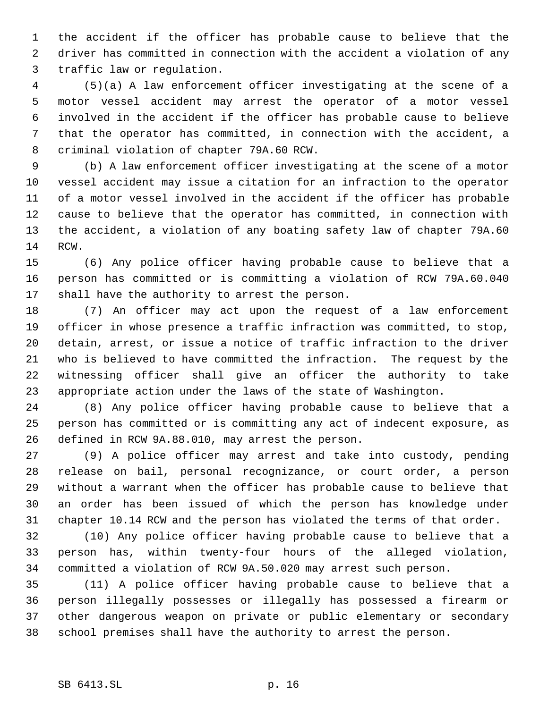the accident if the officer has probable cause to believe that the driver has committed in connection with the accident a violation of any traffic law or regulation.

 (5)(a) A law enforcement officer investigating at the scene of a motor vessel accident may arrest the operator of a motor vessel involved in the accident if the officer has probable cause to believe that the operator has committed, in connection with the accident, a criminal violation of chapter 79A.60 RCW.

 (b) A law enforcement officer investigating at the scene of a motor vessel accident may issue a citation for an infraction to the operator of a motor vessel involved in the accident if the officer has probable cause to believe that the operator has committed, in connection with the accident, a violation of any boating safety law of chapter 79A.60 RCW.

 (6) Any police officer having probable cause to believe that a person has committed or is committing a violation of RCW 79A.60.040 shall have the authority to arrest the person.

 (7) An officer may act upon the request of a law enforcement officer in whose presence a traffic infraction was committed, to stop, detain, arrest, or issue a notice of traffic infraction to the driver who is believed to have committed the infraction. The request by the witnessing officer shall give an officer the authority to take appropriate action under the laws of the state of Washington.

 (8) Any police officer having probable cause to believe that a person has committed or is committing any act of indecent exposure, as defined in RCW 9A.88.010, may arrest the person.

 (9) A police officer may arrest and take into custody, pending release on bail, personal recognizance, or court order, a person without a warrant when the officer has probable cause to believe that an order has been issued of which the person has knowledge under chapter 10.14 RCW and the person has violated the terms of that order.

 (10) Any police officer having probable cause to believe that a person has, within twenty-four hours of the alleged violation, committed a violation of RCW 9A.50.020 may arrest such person.

 (11) A police officer having probable cause to believe that a person illegally possesses or illegally has possessed a firearm or other dangerous weapon on private or public elementary or secondary school premises shall have the authority to arrest the person.

## SB 6413.SL p. 16